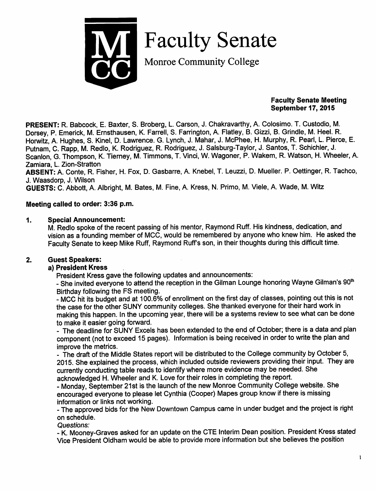

Faculty Senate

Monroe Community College

#### *Faculty Senate Meeting September 17, 2015*

*PRESENT:* R. Babcock, E. Baxter, S. Broberg, L. Carson, J. Chakravarthy, A. Colosimo. T. Custodio, M. Dorsey, P. Emerick, M. Emsthausen, K. Farrell, S. Farrington, A. Flatley, B. Gizzi, B. Grindle, M. Heel. R. Horwitz, A. Hughes, S. Kinel, D. Lawrence. G. Lynch, J. Mahar, J. McPhee, H. Murphy, R. Pearl, L. Pierce, E. Putnam, C. Rapp, M. Redlo, K. Rodriguez, R. Rodriguez, J. Salsburg-Taylor, J. Santos, T. Schichler, J. Scanlon, G. Thompson, K. Tierney, M. Timmons, T. Vinci, W. Wagoner, P. Wakem, R. Watson, H. Wheeler, A. Zamiara, L. Zion-Stratton

*ABSENT:* A. Conte, R. Fisher, H. Fox, D. Gasbarre, A. Knebel, T. Leuzzi, D. Mueller. P. Oettinger, R. Tachco, J. Waasdorp, J. Wilson

*GUESTS:* C. Abbott, A. Albright, M. Bates, M. Fine, A. Kress, N. Primo, M. Viele, A. Wade, M. Witz

### *Meeting called to order: 3:36 p.m.*

#### *1. Special Announcement:*

M. Redlo spoke of the recent passing of his mentor, Raymond Ruff. His kindness, dedication, and vision as a founding member of MCC, would be remembered by anyone who knew him. He asked the Faculty Senate to keep Mike Ruff, Raymond Ruff's son, in their thoughts during this difficult time.

### *2. Guest Speakers:*

### *a) President Kress*

President Kress gave the following updates and announcements:

- She invited everyone to attend the reception in the Gilman Lounge honoring Wayne Gilman's 90<sup>th</sup>

Birthday following the FS meeting.<br>- MCC hit its budget and at 100.6% of enrollment on the first day of classes, pointing out this is not the case for the other SUNY community colleges. She thanked everyone for their hard work in making this happen. In the upcoming year, there will be a systems review to see what can be done to make it easier going forward.

- The deadline for SUNY Excels has been extended to the end of October; there is a data and plan component (not to exceed 15 pages). Information is being received in order to write the plan and improve the metrics.

- The draft of the Middle States report will be distributed to the College community by October 5, 2015. She explained the process, which included outside reviewers providing their input. They are currently conducting table reads to identify where more evidence may be needed. She acknowledged H. Wheeler and K. Love for their roles in completing the report.

- Monday, September 21st is the launch of the new Monroe Community College website. She encouraged everyone to please let Cynthia (Cooper) Mapes group know if there is missing information or links not working.

- The approved bids for the New Downtown Campus came in under budget and the project is right on schedule.

**Questions:**

- K. Mooney-Graves asked for an update on the CTE Interim Dean position. President Kress stated Vice President Oldham would be able to provide more information but she believes the position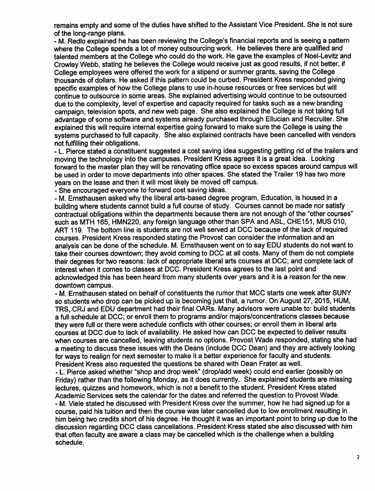*remains empty and some of the duties have shifted to the Assistant Vice President. She is not sure of the long-range plans.*

*- M. Redlo explained he has been reviewing the College's financial reports and is seeing a pattern where the College spends a lot of money outsourcing work. He believes there are qualified and talented members at the College who could do the work. He gave the examples of Noel-Levitz and Crowley Webb, stating he believes the Collegewould receive just as good results, if not better, if College employees were offered the work for a stipend orsummer grants, saving the College thousands of dollars. He asked if this pattern could be curbed. President Kress responded giving specific examples of how the College plans to use in-house resources or free services but will continue to outsource in some areas. She explained advertising would continue to be outsourced due to the complexity, level of expertise and capacity required fortasks such as a new branding campaign, television spots, and new web page. She also explained the College is not taking full advantage of some software and systems already purchased through Ellucian and Recruiter. She explained this will require internal expertise going forward to make sure the College is using the systems purchased to full capacity. She also explained contracts have been cancelled with vendors not fulfilling their obligations.*

*- L. Pierce stated a constituent suggested a cost saving idea suggesting getting rid of the trailers and moving the technology into the campuses. President Kress agrees it is a great idea. Looking forward to the master plan they will be renovating office space so excess spaces around campus will be used in order to move departments into other spaces. She stated the Trailer 19 has two more years on the lease and then itwill most likely be moved off campus.*

*- She encouraged everyone to forward cost saving ideas.*

*- M. Ernsthausen asked why the liberal arts-based degree program, Education, is housed in a building where students cannot build a full course of study. Courses cannot be made nor satisfy contractual obligations within the departments because there are not enough of the "other courses" such as MTH 165, HMN220, any foreign language other than SPA and ASL, CHE151, MUS 010, ART 119. The bottom line is students are not well served at DCC because of the lack of required courses. President Kress responded stating the Provost can consider the information and an analysis can be done of the schedule. M. Ernsthausen went on to say EDU students do not want to take their courses downtown; they avoid coming to DCC at all costs. Many of them do not complete their degrees fortwo reasons: lack of appropriate liberal arts courses at DCC; and complete lack of interest when it comes to classes at DCC. President Kress agrees to the last point and acknowledged this has been heard from many students over years and it is a reason forthe new downtown campus.*

*- M. Ernsthausen stated on behalf of constituents the rumor that MCC starts one week after SUNY so students who drop can be picked up is becoming just that, a rumor. On August 27, 2015, HUM, TRS, CRJ and EDU department had their final OARs. Many advisors were unable to: build students a full schedule at DCC; or enroll them to programs and/or majors/concentrations classes because they were full or there were schedule conflictswith other courses; or enroll them in liberal arts courses at DCC due to lack of availability. He asked how can DCC be expected to deliver results when courses are cancelled, leaving students no options. Provost Wade responded, stating she had a meeting to discuss these issues with the Deans (include DCC Dean) and they are actively looking forways to realign for next semester to make it a better experience for faculty and students. President Kress also requested the questions be shared with Dean Frater as well.*

*- L. Pierce asked whether "shop and drop week" (drop/add week) could end earlier (possibly on Friday) ratherthan the following Monday, as it does currently. She explained students are missing lectures, quizzes and homework, which is not a benefit to the student. President Kress stated Academic Services sets the calendar for the dates and referred the question to Provost Wade.*

*- M. Viele stated he discussed with President Kress over the summer, how he had signed up for a course, paid his tuition and then the course was later cancelled due to low enrollment resulting in him being two credits short of his degree. He thought itwas an important point to bring up due to the discussion regarding DCC class cancellations. President Kress stated she also discussed with him that often faculty are aware a class may be cancelled which is the challenge when a building schedule.*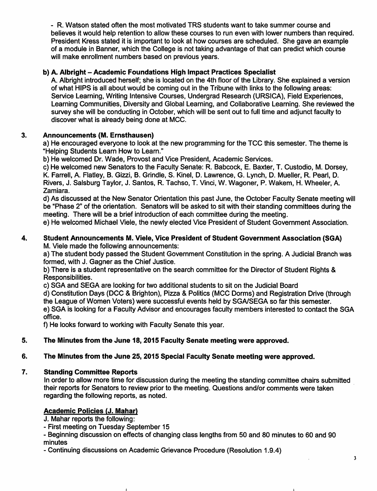- R. Watson stated often the most motivated TRS students want to take summer course and believes it would help retention to allow these courses to run even with lower numbers than required. President Kress stated it is important to look at how courses are scheduled. She gave an example of a module in Banner, which the College is not taking advantage of that can predict which course will make enrollment numbers based on previous years.

# *b) A. Albright - Academic Foundations High Impact Practices Specialist*

A. Albright introduced herself; she is located on the 4th floor of the Library. She explained a version of what HIPS is all about would be coming out in the Tribune with links to the following areas: Service Learning, Writing Intensive Courses, Undergrad Research (URSICA), Field Experiences, Learning Communities, Diversity and Global Learning, and Collaborative Learning. She reviewed the survey she will be conducting in October, which will be sent out to full time and adjunct faculty to discover what is already being done at MCC.

# *3. Announcements (M. Ernsthausen)*

a) He encouraged everyone to look at the new programming for the TCC this semester. The theme is "Helping Students Learn How to Learn."

b) He welcomed Dr. Wade, Provost and Vice President, Academic Services.

c) He welcomed new Senators to the Faculty Senate: R. Babcock, E. Baxter, T. Custodio, M. Dorsey, K. Farrell, A. Flatley, B. Gizzi, B. Grindle, S. Kinel, D. Lawrence, G. Lynch, D. Mueller, R. Pearl, D. Rivers, J. Salsburg Taylor, J. Santos, R. Tachso, T. Vinci, W. Wagoner, P. Wakem, H. Wheeler, A. Zamiara.

d) As discussed at the New Senator Orientation this past June, the October Faculty Senate meeting will be "Phase 2" of the orientation. Senators will be asked to sit with their standing committees during the meeting. There will be a brief introduction of each committee during the meeting.

e) He welcomed Michael Viele, the newly elected Vice President of Student Government Association.

#### *4. Student Announcements M. Viele, Vice President of Student Government Association (SGA)* M. Viele made the following announcements:

a) The student body passed the Student Government Constitution in the spring. A Judicial Branch was formed, with J. Gagner as the Chief Justice.

b) There is a student representative on the search committee for the Director of Student Rights & Responsibilities.

c) SGA and SEGA are looking for two additional students to sit on the Judicial Board

d) Constitution Days (DCC & Brighton), Pizza & Politics (MCC Dorms) and Registration Drive (through the League of Women Voters) were successful events held by SGA/SEGA so far this semester.

e) SGA is looking for a Faculty Advisor and encourages faculty members interested to contact the SGA office.

f) He looks forward to working with Faculty Senate this year.

# *5. The Minutes from the June 18,2015 Faculty Senate meeting were approved.*

# *6. The Minutes from the June 25,2015 Special Faculty Senate meeting were approved.*

# *7. Standing Committee Reports*

In order to allow more time for discussion during the meeting the standing committee chairs submitted their reports for Senators to review prior to the meeting. Questions and/or comments were taken regarding the following reports, as noted.

# *Academic Policies (J. Mahar)*

J. Mahar reports the following:

- First meeting on Tuesday September 15

- Beginning discussion on effects of changing class lengths from 50 and 80 minutes to 60 and 90 minutes

- Continuing discussions on Academic Grievance Procedure (Resolution 1.9.4)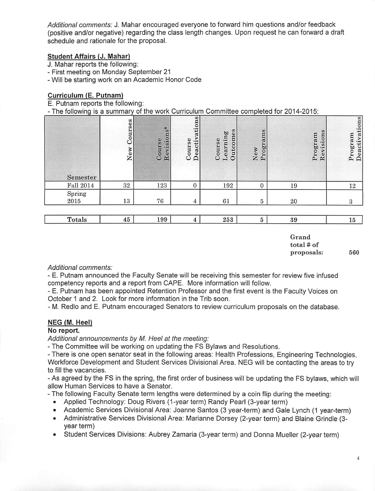**Additional comments:** J. Mahar encouraged everyone to forward him questions and/or feedback (positive and/or negative) regarding the class length changes. Upon request he can forward a draft schedule and rationale for the proposal.

### *Student Affairs (J. Mahar)*

J. Mahar reports the following:

- First meeting on Monday September 21
- Will be starting work on an Academic Honor Code

#### *Curriculum (E. Putnam)*

E. Putnam reports the following:

- The following is *a* summary of the work Curriculum Committee completed for 2014-2015:

| Semester           | Courses<br>New | Revisions*<br>Course | ctivations<br>Course<br>$\alpha$<br>De | utcomes<br>Learning<br>Course<br>Ċ | Programs<br>New | $\omega$<br>Program<br>Revision | Deactivations<br>Program |
|--------------------|----------------|----------------------|----------------------------------------|------------------------------------|-----------------|---------------------------------|--------------------------|
| <b>Fall 2014</b>   | 32             | 123                  |                                        | 192                                |                 | 19                              | 12                       |
| $Spring$<br>$2015$ | 13             | 76                   |                                        | 61                                 | 5               | 20                              |                          |

| П<br>ntals | -- | $\Omega$ | $\sim$ $\sim$ $\sim$<br>$\cdot$ .<br>. | $\mathbf{a}$<br>υī |  |
|------------|----|----------|----------------------------------------|--------------------|--|
|            |    |          |                                        |                    |  |

| Grand      |  |
|------------|--|
| total # of |  |
| proposals: |  |

560

#### **Additional comments:**

- E. Putnam announced the Faculty Senate will be receiving this semester for review five infused competency reports and a report from CAPE. More information will follow.

- E. Putnam has been appointed Retention Professor and the first event is the Faculty Voices on October 1 and 2. Look for more information in the Trib soon.

- M. Redlo and E. Putnam encouraged Senators to review curriculum proposals on the database.

#### *NEG (M. Heel)*

#### *No report.*

**Additional announcements by M. Heel at the meeting:**

- The Committee will be working on updating the FS Bylaws and Resolutions.

- There is one open senator seat in the following areas: Health Professions, Engineering Technologies, Workforce Development and Student Services Divisional Area. NEG will be contacting the areas to try to fill the vacancies.

- As agreed by the FS in the spring, the first order of business will be updating the FS bylaws, which will allow Human Services to have a Senator.

- The following Faculty Senate term lengths were determined by a coin flip during the meeting:
	- Applied Technology: Doug Rivers (1-year term) Randy Pearl (3-year term)
	- Academic Services Divisional Area: Joanne Santos (3 year-term) and Gale Lynch (1 year-term)
	- Administrative Services Divisional Area: Marianne Dorsey (2-year term) and Blaine Grindle (3year term)
	- Student Services Divisions: Aubrey Zamaria (3-year term) and Donna Mueller (2-year term)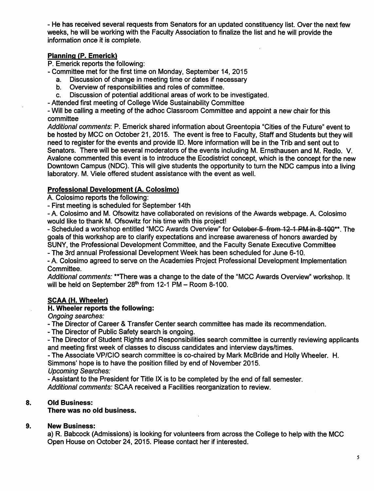- He has received several requests from Senators for an updated constituency list. Over the next few weeks, he will be working with the Faculty Association to finalize the list and he will provide the information once **it** is complete.

#### *Planning (P. Emerick)*

P. Emerick reports the following:

- Committee met for the first time on Monday, September 14, 2015
	- a. Discussion of change in meeting time or dates if necessary
	- b. Overview of responsibilities and roles of committee.
	- c. Discussion of potential additional areas of work to be investigated.

- Attended first meeting of College Wide Sustainability Committee

- Will be calling a meeting of the adhoc Classroom Committee and appoint a new chair for this committee

Additional comments: P. Emerick shared information about Greentopia "Cities of the Future" event to be hosted by MCC on October 21, 2015. The event is free to Faculty, Staff and Students but they will need to register for the events and provide ID. More information will be in the Trib and sent out to Senators. There will be several moderators of the events including M. Ernsthausen and M. Redlo. V. Avalone commented this event is to introduce the Ecodistrict concept, which is the concept for the new Downtown Campus (NDC). This will give students the opportunity to turn the NDC campus into a living laboratory. M. Viele offered student assistance with the event as well.

### *Professional Development (A. Colosimo)*

A. Colosimo reports the following:

- First meeting is scheduled for September 14th

- A. Colosimo and M. Ofsowitz have collaborated on revisions of the Awards webpage. A. Colosimo would like to thank M. Ofsowitz for his time with this project!

- Scheduled a workshop entitled "MCC Awards Overview" for October 5 from 12-1 PM in 8-100\*\*. The goals of this workshop are to clarify expectations and increase awareness of honors awarded by SUNY, the Professional Development Committee, and the Faculty Senate Executive Committee

- The 3rd annual Professional Development Week has been scheduled for June 6-10.

- A. Colosimo agreed to serve on the Academies Project Professional Development Implementation Committee.

**Additional comments:** \*\*There was a change to the date of the "MCC Awards Overview" workshop. It will be held on September  $28<sup>th</sup>$  from 12-1 PM - Room 8-100.

### *SCAA (H. Wheeler)*

### *H. Wheeler reports the following:*

**Ongoing searches:**

- The Director of Career & Transfer Center search committee has made its recommendation.

- The Director of Public Safety search is ongoing.

- The Director of Student Rights and Responsibilities search committee is currently reviewing applicants and meeting first week of classes to discuss candidates and interview days/times.

- The Associate VP/CIO search committee is co-chaired by Mark McBride and Holly Wheeler. H.

Simmons' hope is to have the position filled by end of November 2015.

**Upcoming Searches:**

- Assistant to the President for Title IX is to be completed by the end of fall semester.

**Additional comments:** SCAA received a Facilities reorganization to review.

# *8. Old Business:*

*There was no old business.*

### *9. New Business:*

a) R. Babcock (Admissions) is looking for volunteers from across the College to help with the MCC Open House on October 24, 2015. Please contact her if interested.